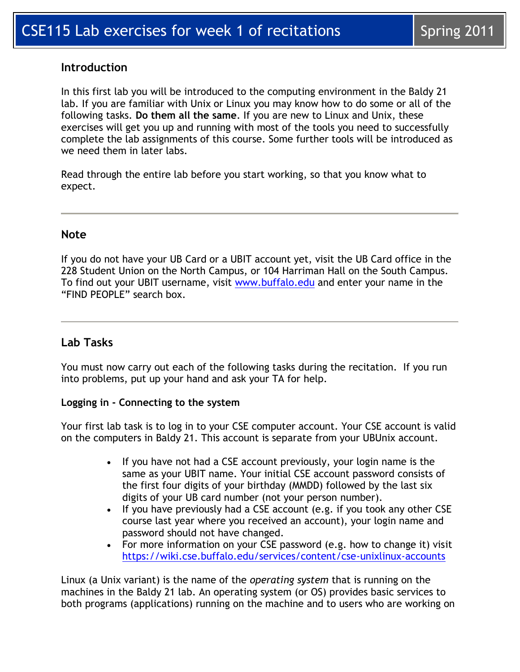## **Introduction**

In this first lab you will be introduced to the computing environment in the Baldy 21 lab. If you are familiar with Unix or Linux you may know how to do some or all of the following tasks. **Do them all the same**. If you are new to Linux and Unix, these exercises will get you up and running with most of the tools you need to successfully complete the lab assignments of this course. Some further tools will be introduced as we need them in later labs.

Read through the entire lab before you start working, so that you know what to expect.

## **Note**

If you do not have your UB Card or a UBIT account yet, visit the UB Card office in the 228 Student Union on the North Campus, or 104 Harriman Hall on the South Campus. To find out your UBIT username, visit [www.buffalo.edu](http://www.buffalo.edu/) and enter your name in the "FIND PEOPLE" search box.

## **Lab Tasks**

You must now carry out each of the following tasks during the recitation. If you run into problems, put up your hand and ask your TA for help.

### **Logging in - Connecting to the system**

Your first lab task is to log in to your CSE computer account. Your CSE account is valid on the computers in Baldy 21. This account is separate from your UBUnix account.

- If you have not had a CSE account previously, your login name is the same as your UBIT name. Your initial CSE account password consists of the first four digits of your birthday (MMDD) followed by the last six digits of your UB card number (not your person number).
- If you have previously had a CSE account (e.g. if you took any other CSE course last year where you received an account), your login name and password should not have changed.
- For more information on your CSE password (e.g. how to change it) visit <https://wiki.cse.buffalo.edu/services/content/cse-unixlinux-accounts>

Linux (a Unix variant) is the name of the *operating system* that is running on the machines in the Baldy 21 lab. An operating system (or OS) provides basic services to both programs (applications) running on the machine and to users who are working on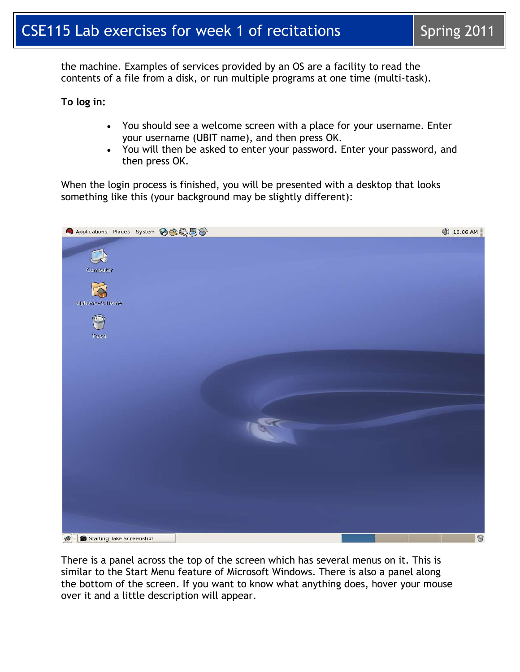the machine. Examples of services provided by an OS are a facility to read the contents of a file from a disk, or run multiple programs at one time (multi-task).

**To log in:**

- You should see a welcome screen with a place for your username. Enter your username (UBIT name), and then press OK.
- You will then be asked to enter your password. Enter your password, and then press OK.

When the login process is finished, you will be presented with a desktop that looks something like this (your background may be slightly different):



There is a panel across the top of the screen which has several menus on it. This is similar to the Start Menu feature of Microsoft Windows. There is also a panel along the bottom of the screen. If you want to know what anything does, hover your mouse over it and a little description will appear.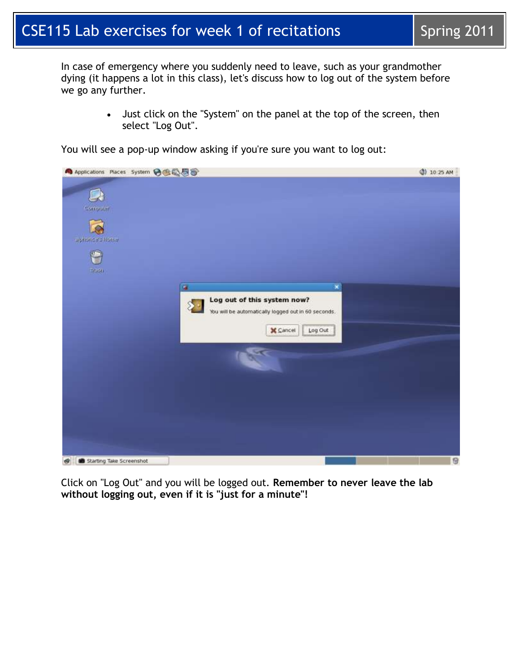# CSE115 Lab exercises for week 1 of recitations  $\vert$  Spring 2011

In case of emergency where you suddenly need to leave, such as your grandmother dying (it happens a lot in this class), let's discuss how to log out of the system before we go any further.

> Just click on the "System" on the panel at the top of the screen, then select "Log Out".



You will see a pop-up window asking if you're sure you want to log out:

Click on "Log Out" and you will be logged out. **Remember to never leave the lab without logging out, even if it is "just for a minute"!**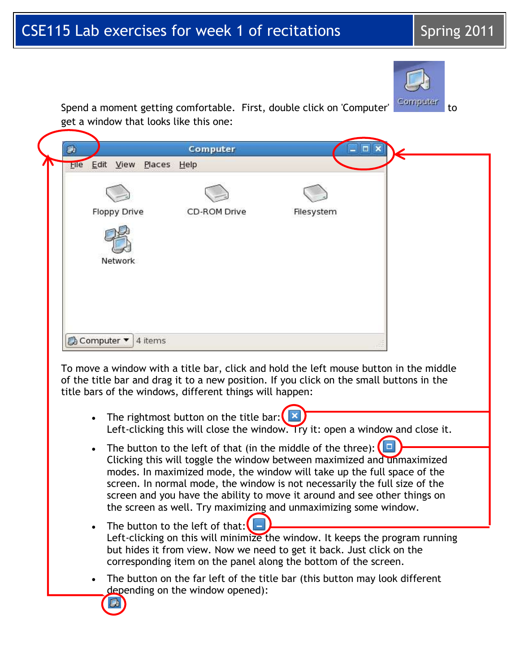# CSE115 Lab exercises for week 1 of recitations  $\vert$  Spring 2011



Spend a moment getting comfortable. First, double click on 'Computer' Computer to get a window that looks like this one:

| <b>Floppy Drive</b> | CD-ROM Drive | Filesystem |
|---------------------|--------------|------------|
| Network             |              |            |
|                     |              |            |

To move a window with a title bar, click and hold the left mouse button in the middle of the title bar and drag it to a new position. If you click on the small buttons in the title bars of the windows, different things will happen:

- The rightmost button on the title bar:  $\Box$ Left-clicking this will close the window. Try it: open a window and close it.
- The button to the left of that (in the middle of the three):  $\Box$ Clicking this will toggle the window between maximized and unmaximized modes. In maximized mode, the window will take up the full space of the screen. In normal mode, the window is not necessarily the full size of the screen and you have the ability to move it around and see other things on the screen as well. Try maximizing and unmaximizing some window.
- $\bullet$  The button to the left of that: Left-clicking on this will minimize the window. It keeps the program running but hides it from view. Now we need to get it back. Just click on the corresponding item on the panel along the bottom of the screen.
- The button on the far left of the title bar (this button may look different depending on the window opened):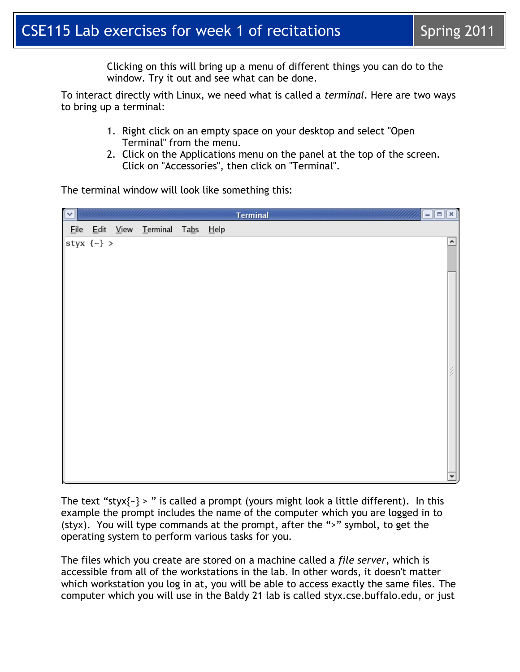Clicking on this will bring up a menu of different things you can do to the window. Try it out and see what can be done.

To interact directly with Linux, we need what is called a *terminal*. Here are two ways to bring up a terminal:

- 1. Right click on an empty space on your desktop and select "Open Terminal" from the menu.
- 2. Click on the Applications menu on the panel at the top of the screen. Click on "Accessories", then click on "Terminal".

The terminal window will look like something this:

| $\overline{\mathbf{C}}$ |                   |                                   |  | Terminal | $\Box$ ex |
|-------------------------|-------------------|-----------------------------------|--|----------|-----------|
|                         |                   | File Edit View Terminal Tabs Help |  |          |           |
|                         | styx $\{\sim\}$ > |                                   |  |          | ٠         |
|                         |                   |                                   |  |          |           |
|                         |                   |                                   |  |          |           |
|                         |                   |                                   |  |          |           |
|                         |                   |                                   |  |          |           |
|                         |                   |                                   |  |          |           |
|                         |                   |                                   |  |          |           |
|                         |                   |                                   |  |          |           |
|                         |                   |                                   |  |          |           |
|                         |                   |                                   |  |          |           |
|                         |                   |                                   |  |          |           |
|                         |                   |                                   |  |          |           |
|                         |                   |                                   |  |          |           |
|                         |                   |                                   |  |          |           |
|                         |                   |                                   |  |          | ٠         |

The text "styx{ $\text{-}$ } > " is called a prompt (yours might look a little different). In this example the prompt includes the name of the computer which you are logged in to (styx). You will type commands at the prompt, after the ">" symbol, to get the operating system to perform various tasks for you.

The files which you create are stored on a machine called a *file server*, which is accessible from all of the workstations in the lab. In other words, it doesn't matter which workstation you log in at, you will be able to access exactly the same files. The computer which you will use in the Baldy 21 lab is called styx.cse.buffalo.edu, or just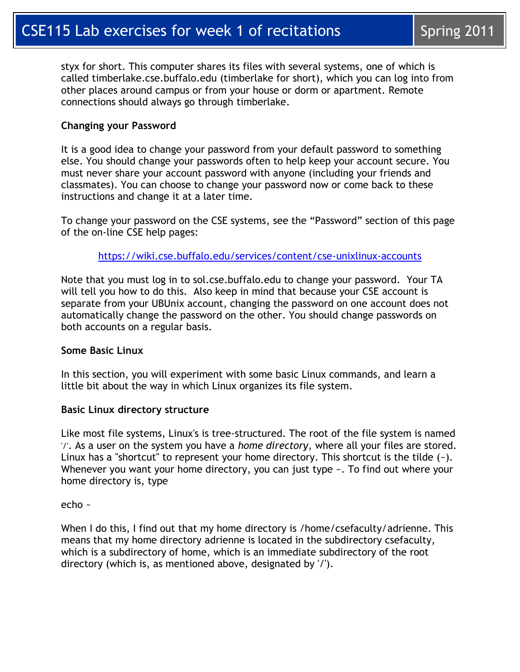styx for short. This computer shares its files with several systems, one of which is called timberlake.cse.buffalo.edu (timberlake for short), which you can log into from other places around campus or from your house or dorm or apartment. Remote connections should always go through timberlake.

### **Changing your Password**

It is a good idea to change your password from your default password to something else. You should change your passwords often to help keep your account secure. You must never share your account password with anyone (including your friends and classmates). You can choose to change your password now or come back to these instructions and change it at a later time.

To change your password on the CSE systems, see the "Password" section of this page of the on-line CSE help pages:

<https://wiki.cse.buffalo.edu/services/content/cse-unixlinux-accounts>

Note that you must log in to sol.cse.buffalo.edu to change your password. Your TA will tell you how to do this. Also keep in mind that because your CSE account is separate from your UBUnix account, changing the password on one account does not automatically change the password on the other. You should change passwords on both accounts on a regular basis.

### **Some Basic Linux**

In this section, you will experiment with some basic Linux commands, and learn a little bit about the way in which Linux organizes its file system.

### **Basic Linux directory structure**

Like most file systems, Linux's is tree-structured. The root of the file system is named '/'. As a user on the system you have a *home directory*, where all your files are stored. Linux has a "shortcut" to represent your home directory. This shortcut is the tilde  $(-)$ . Whenever you want your home directory, you can just type  $\sim$ . To find out where your home directory is, type

echo ~

When I do this, I find out that my home directory is /home/csefaculty/adrienne. This means that my home directory adrienne is located in the subdirectory csefaculty, which is a subdirectory of home, which is an immediate subdirectory of the root directory (which is, as mentioned above, designated by '/').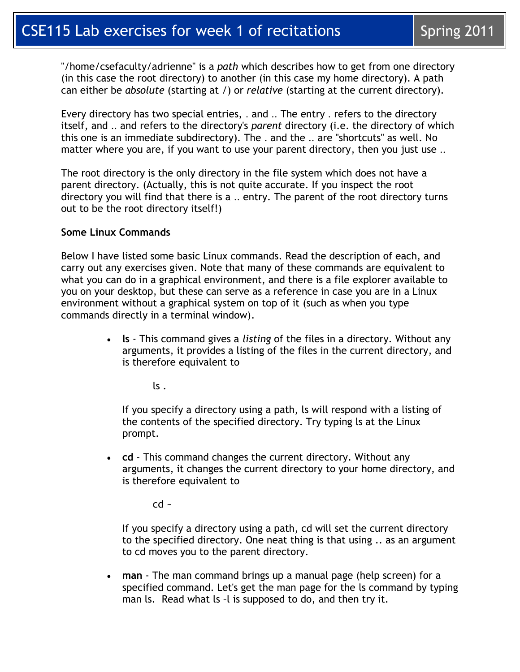"/home/csefaculty/adrienne" is a *path* which describes how to get from one directory (in this case the root directory) to another (in this case my home directory). A path can either be *absolute* (starting at /) or *relative* (starting at the current directory).

Every directory has two special entries, . and .. The entry . refers to the directory itself, and .. and refers to the directory's *parent* directory (i.e. the directory of which this one is an immediate subdirectory). The . and the .. are "shortcuts" as well. No matter where you are, if you want to use your parent directory, then you just use ..

The root directory is the only directory in the file system which does not have a parent directory. (Actually, this is not quite accurate. If you inspect the root directory you will find that there is a .. entry. The parent of the root directory turns out to be the root directory itself!)

#### **Some Linux Commands**

Below I have listed some basic Linux commands. Read the description of each, and carry out any exercises given. Note that many of these commands are equivalent to what you can do in a graphical environment, and there is a file explorer available to you on your desktop, but these can serve as a reference in case you are in a Linux environment without a graphical system on top of it (such as when you type commands directly in a terminal window).

> **ls** - This command gives a *listing* of the files in a directory. Without any arguments, it provides a listing of the files in the current directory, and is therefore equivalent to

> > $\mathsf{ls}$ .

If you specify a directory using a path, ls will respond with a listing of the contents of the specified directory. Try typing ls at the Linux prompt.

 **cd** - This command changes the current directory. Without any arguments, it changes the current directory to your home directory, and is therefore equivalent to

 $cd -$ 

If you specify a directory using a path, cd will set the current directory to the specified directory. One neat thing is that using .. as an argument to cd moves you to the parent directory.

 **man** - The man command brings up a manual page (help screen) for a specified command. Let's get the man page for the ls command by typing man ls. Read what ls -l is supposed to do, and then try it.